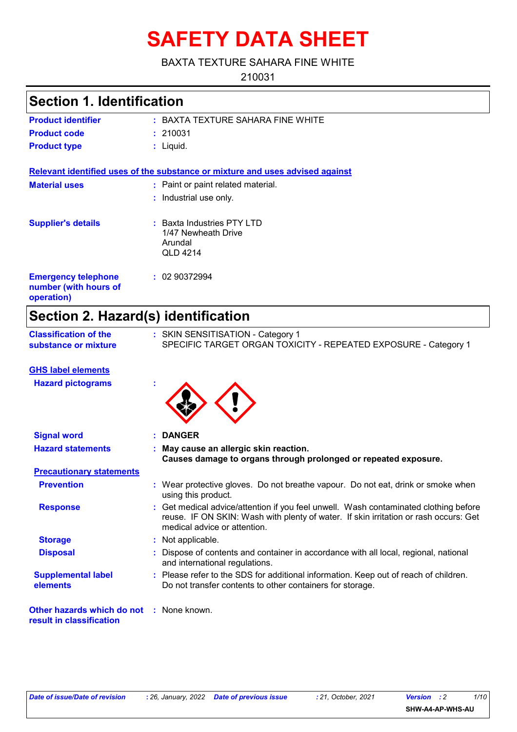# **SAFETY DATA SHEET**

#### BAXTA TEXTURE SAHARA FINE WHITE

210031

### **Section 1. Identification**

| <b>Product identifier</b> | : BAXTA TEXTURE SAHARA FINE WHITE |
|---------------------------|-----------------------------------|
| <b>Product code</b>       | : 210031                          |
| <b>Product type</b>       | : Liauid.                         |

**Relevant identified uses of the substance or mixture and uses advised against**

| <b>Material uses</b>                                              | : Paint or paint related material.<br>: Industrial use only.               |
|-------------------------------------------------------------------|----------------------------------------------------------------------------|
| <b>Supplier's details</b>                                         | $:$ Baxta Industries PTY LTD<br>1/47 Newheath Drive<br>Arundal<br>QLD 4214 |
| <b>Emergency telephone</b><br>number (with hours of<br>operation) | : 0290372994                                                               |

### **Section 2. Hazard(s) identification**

| <b>Classification of the</b> | : SKIN SENSITISATION - Category 1                               |  |
|------------------------------|-----------------------------------------------------------------|--|
| substance or mixture         | SPECIFIC TARGET ORGAN TOXICITY - REPEATED EXPOSURE - Category 1 |  |

| <b>GHS label elements</b><br><b>Hazard pictograms</b>                |                                                                                                                                                                                                              |
|----------------------------------------------------------------------|--------------------------------------------------------------------------------------------------------------------------------------------------------------------------------------------------------------|
|                                                                      |                                                                                                                                                                                                              |
| <b>Signal word</b>                                                   | : DANGER                                                                                                                                                                                                     |
| <b>Hazard statements</b>                                             | : May cause an allergic skin reaction.<br>Causes damage to organs through prolonged or repeated exposure.                                                                                                    |
| <b>Precautionary statements</b>                                      |                                                                                                                                                                                                              |
| <b>Prevention</b>                                                    | : Wear protective gloves. Do not breathe vapour. Do not eat, drink or smoke when<br>using this product.                                                                                                      |
| <b>Response</b>                                                      | : Get medical advice/attention if you feel unwell. Wash contaminated clothing before<br>reuse. IF ON SKIN: Wash with plenty of water. If skin irritation or rash occurs: Get<br>medical advice or attention. |
| <b>Storage</b>                                                       | : Not applicable.                                                                                                                                                                                            |
| <b>Disposal</b>                                                      | Dispose of contents and container in accordance with all local, regional, national<br>and international regulations.                                                                                         |
| <b>Supplemental label</b><br>elements                                | : Please refer to the SDS for additional information. Keep out of reach of children.<br>Do not transfer contents to other containers for storage.                                                            |
| Other hazards which do not : None known.<br>result in classification |                                                                                                                                                                                                              |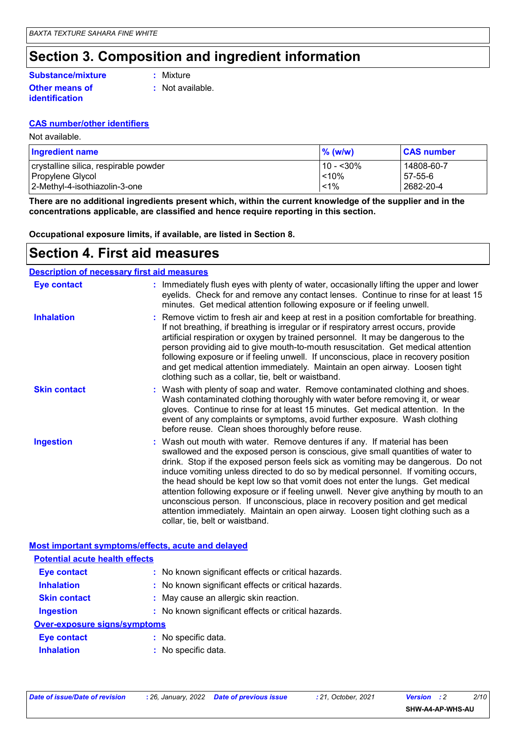### **Section 3. Composition and ingredient information**

### **Substance/mixture**

**Other means of identification**

**:** Mixture

**:** Not available.

### **CAS number/other identifiers**

Not available.

| <b>Ingredient name</b>                | $\%$ (w/w)   | <b>CAS number</b> |
|---------------------------------------|--------------|-------------------|
| crystalline silica, respirable powder | $110 - 30\%$ | 14808-60-7        |
| Propylene Glycol                      | < 10%        | 57-55-6           |
| 2-Methyl-4-isothiazolin-3-one         | $< 1\%$      | 2682-20-4         |

**There are no additional ingredients present which, within the current knowledge of the supplier and in the concentrations applicable, are classified and hence require reporting in this section.**

**Occupational exposure limits, if available, are listed in Section 8.**

### **Section 4. First aid measures**

| <b>Description of necessary first aid measures</b> |                                                                                                                                                                                                                                                                                                                                                                                                                                                                                                                                                                                                                                                                                                                              |
|----------------------------------------------------|------------------------------------------------------------------------------------------------------------------------------------------------------------------------------------------------------------------------------------------------------------------------------------------------------------------------------------------------------------------------------------------------------------------------------------------------------------------------------------------------------------------------------------------------------------------------------------------------------------------------------------------------------------------------------------------------------------------------------|
| Eye contact                                        | : Immediately flush eyes with plenty of water, occasionally lifting the upper and lower<br>eyelids. Check for and remove any contact lenses. Continue to rinse for at least 15<br>minutes. Get medical attention following exposure or if feeling unwell.                                                                                                                                                                                                                                                                                                                                                                                                                                                                    |
| <b>Inhalation</b>                                  | : Remove victim to fresh air and keep at rest in a position comfortable for breathing.<br>If not breathing, if breathing is irregular or if respiratory arrest occurs, provide<br>artificial respiration or oxygen by trained personnel. It may be dangerous to the<br>person providing aid to give mouth-to-mouth resuscitation. Get medical attention<br>following exposure or if feeling unwell. If unconscious, place in recovery position<br>and get medical attention immediately. Maintain an open airway. Loosen tight<br>clothing such as a collar, tie, belt or waistband.                                                                                                                                         |
| <b>Skin contact</b>                                | : Wash with plenty of soap and water. Remove contaminated clothing and shoes.<br>Wash contaminated clothing thoroughly with water before removing it, or wear<br>gloves. Continue to rinse for at least 15 minutes. Get medical attention. In the<br>event of any complaints or symptoms, avoid further exposure. Wash clothing<br>before reuse. Clean shoes thoroughly before reuse.                                                                                                                                                                                                                                                                                                                                        |
| <b>Ingestion</b>                                   | : Wash out mouth with water. Remove dentures if any. If material has been<br>swallowed and the exposed person is conscious, give small quantities of water to<br>drink. Stop if the exposed person feels sick as vomiting may be dangerous. Do not<br>induce vomiting unless directed to do so by medical personnel. If vomiting occurs,<br>the head should be kept low so that vomit does not enter the lungs. Get medical<br>attention following exposure or if feeling unwell. Never give anything by mouth to an<br>unconscious person. If unconscious, place in recovery position and get medical<br>attention immediately. Maintain an open airway. Loosen tight clothing such as a<br>collar, tie, belt or waistband. |

| Most important symptoms/effects, acute and delayed |                                                     |
|----------------------------------------------------|-----------------------------------------------------|
| <b>Potential acute health effects</b>              |                                                     |
| Eye contact                                        | : No known significant effects or critical hazards. |
| <b>Inhalation</b>                                  | : No known significant effects or critical hazards. |
| <b>Skin contact</b>                                | : May cause an allergic skin reaction.              |
| <b>Ingestion</b>                                   | : No known significant effects or critical hazards. |
| Over-exposure signs/symptoms                       |                                                     |
| Eye contact                                        | : No specific data.                                 |
| <b>Inhalation</b>                                  | : No specific data.                                 |
|                                                    |                                                     |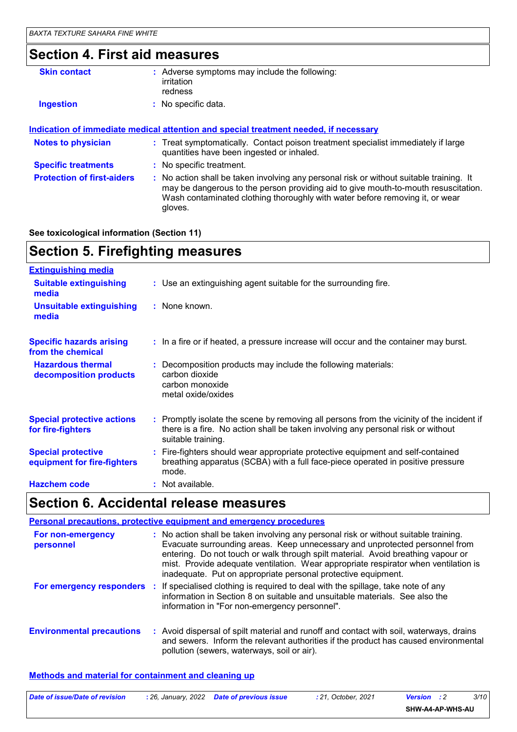### **Section 4. First aid measures**

| <b>Skin contact</b>               | : Adverse symptoms may include the following:<br>irritation<br>redness                                                                                                                                                                                                   |
|-----------------------------------|--------------------------------------------------------------------------------------------------------------------------------------------------------------------------------------------------------------------------------------------------------------------------|
| <b>Ingestion</b>                  | : No specific data.                                                                                                                                                                                                                                                      |
|                                   |                                                                                                                                                                                                                                                                          |
|                                   | <u>Indication of immediate medical attention and special treatment needed, if necessary</u>                                                                                                                                                                              |
| <b>Notes to physician</b>         | : Treat symptomatically. Contact poison treatment specialist immediately if large<br>quantities have been ingested or inhaled.                                                                                                                                           |
| <b>Specific treatments</b>        | : No specific treatment.                                                                                                                                                                                                                                                 |
| <b>Protection of first-aiders</b> | : No action shall be taken involving any personal risk or without suitable training. It<br>may be dangerous to the person providing aid to give mouth-to-mouth resuscitation.<br>Wash contaminated clothing thoroughly with water before removing it, or wear<br>aloves. |

#### **See toxicological information (Section 11)**

### **Section 5. Firefighting measures**

| <b>Extinguishing media</b>                               |                                                                                                                                                                                                     |
|----------------------------------------------------------|-----------------------------------------------------------------------------------------------------------------------------------------------------------------------------------------------------|
| <b>Suitable extinguishing</b><br>media                   | : Use an extinguishing agent suitable for the surrounding fire.                                                                                                                                     |
| <b>Unsuitable extinguishing</b><br>media                 | : None known.                                                                                                                                                                                       |
| <b>Specific hazards arising</b><br>from the chemical     | : In a fire or if heated, a pressure increase will occur and the container may burst.                                                                                                               |
| <b>Hazardous thermal</b><br>decomposition products       | : Decomposition products may include the following materials:<br>carbon dioxide<br>carbon monoxide<br>metal oxide/oxides                                                                            |
| <b>Special protective actions</b><br>for fire-fighters   | : Promptly isolate the scene by removing all persons from the vicinity of the incident if<br>there is a fire. No action shall be taken involving any personal risk or without<br>suitable training. |
| <b>Special protective</b><br>equipment for fire-fighters | : Fire-fighters should wear appropriate protective equipment and self-contained<br>breathing apparatus (SCBA) with a full face-piece operated in positive pressure<br>mode.                         |
| <b>Hazchem code</b>                                      | : Not available.                                                                                                                                                                                    |

## **Section 6. Accidental release measures**

|                                  | <b>Personal precautions, protective equipment and emergency procedures</b>                                                                                                                                                                                                                                                                                                                                      |
|----------------------------------|-----------------------------------------------------------------------------------------------------------------------------------------------------------------------------------------------------------------------------------------------------------------------------------------------------------------------------------------------------------------------------------------------------------------|
| For non-emergency<br>personnel   | : No action shall be taken involving any personal risk or without suitable training.<br>Evacuate surrounding areas. Keep unnecessary and unprotected personnel from<br>entering. Do not touch or walk through spilt material. Avoid breathing vapour or<br>mist. Provide adequate ventilation. Wear appropriate respirator when ventilation is<br>inadequate. Put on appropriate personal protective equipment. |
|                                  | For emergency responders : If specialised clothing is required to deal with the spillage, take note of any<br>information in Section 8 on suitable and unsuitable materials. See also the<br>information in "For non-emergency personnel".                                                                                                                                                                      |
| <b>Environmental precautions</b> | : Avoid dispersal of spilt material and runoff and contact with soil, waterways, drains<br>and sewers. Inform the relevant authorities if the product has caused environmental<br>pollution (sewers, waterways, soil or air).                                                                                                                                                                                   |

#### **Methods and material for containment and cleaning up**

| Date of issue/Date of revision | : 26. January, 2022 Date of previous issue | : 21. October. 2021 | <b>Version</b> : 2 | 3/10 |  |
|--------------------------------|--------------------------------------------|---------------------|--------------------|------|--|
|                                |                                            |                     | SHW-A4-AP-WHS-AU   |      |  |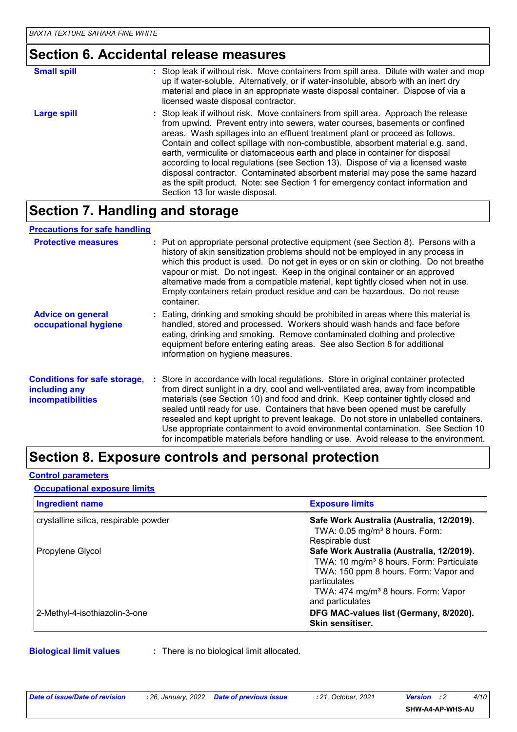## **Section 6. Accidental release measures**

| <b>Small spill</b> | : Stop leak if without risk. Move containers from spill area. Dilute with water and mop<br>up if water-soluble. Alternatively, or if water-insoluble, absorb with an inert dry<br>material and place in an appropriate waste disposal container. Dispose of via a<br>licensed waste disposal contractor.                                                                                                                                                                                                                                                                                                                                                                                                          |
|--------------------|-------------------------------------------------------------------------------------------------------------------------------------------------------------------------------------------------------------------------------------------------------------------------------------------------------------------------------------------------------------------------------------------------------------------------------------------------------------------------------------------------------------------------------------------------------------------------------------------------------------------------------------------------------------------------------------------------------------------|
| Large spill        | : Stop leak if without risk. Move containers from spill area. Approach the release<br>from upwind. Prevent entry into sewers, water courses, basements or confined<br>areas. Wash spillages into an effluent treatment plant or proceed as follows.<br>Contain and collect spillage with non-combustible, absorbent material e.g. sand,<br>earth, vermiculite or diatomaceous earth and place in container for disposal<br>according to local regulations (see Section 13). Dispose of via a licensed waste<br>disposal contractor. Contaminated absorbent material may pose the same hazard<br>as the spilt product. Note: see Section 1 for emergency contact information and<br>Section 13 for waste disposal. |

### **Section 7. Handling and storage**

#### **Precautions for safe handling**

| <b>Protective measures</b>                                                       | : Put on appropriate personal protective equipment (see Section 8). Persons with a<br>history of skin sensitization problems should not be employed in any process in<br>which this product is used. Do not get in eyes or on skin or clothing. Do not breathe<br>vapour or mist. Do not ingest. Keep in the original container or an approved<br>alternative made from a compatible material, kept tightly closed when not in use.<br>Empty containers retain product residue and can be hazardous. Do not reuse<br>container.                                                                                       |
|----------------------------------------------------------------------------------|-----------------------------------------------------------------------------------------------------------------------------------------------------------------------------------------------------------------------------------------------------------------------------------------------------------------------------------------------------------------------------------------------------------------------------------------------------------------------------------------------------------------------------------------------------------------------------------------------------------------------|
| <b>Advice on general</b><br>occupational hygiene                                 | : Eating, drinking and smoking should be prohibited in areas where this material is<br>handled, stored and processed. Workers should wash hands and face before<br>eating, drinking and smoking. Remove contaminated clothing and protective<br>equipment before entering eating areas. See also Section 8 for additional<br>information on hygiene measures.                                                                                                                                                                                                                                                         |
| <b>Conditions for safe storage,</b><br>including any<br><b>incompatibilities</b> | : Store in accordance with local regulations. Store in original container protected<br>from direct sunlight in a dry, cool and well-ventilated area, away from incompatible<br>materials (see Section 10) and food and drink. Keep container tightly closed and<br>sealed until ready for use. Containers that have been opened must be carefully<br>resealed and kept upright to prevent leakage. Do not store in unlabelled containers.<br>Use appropriate containment to avoid environmental contamination. See Section 10<br>for incompatible materials before handling or use. Avoid release to the environment. |

### **Section 8. Exposure controls and personal protection**

#### **Control parameters**

#### **Occupational exposure limits**

| <b>Ingredient name</b>                | <b>Exposure limits</b>                                                                                                                                                                                                            |
|---------------------------------------|-----------------------------------------------------------------------------------------------------------------------------------------------------------------------------------------------------------------------------------|
| crystalline silica, respirable powder | Safe Work Australia (Australia, 12/2019).<br>TWA: $0.05$ mg/m <sup>3</sup> 8 hours. Form:<br>Respirable dust                                                                                                                      |
| Propylene Glycol                      | Safe Work Australia (Australia, 12/2019).<br>TWA: 10 mg/m <sup>3</sup> 8 hours. Form: Particulate<br>TWA: 150 ppm 8 hours. Form: Vapor and<br>particulates<br>TWA: 474 mg/m <sup>3</sup> 8 hours. Form: Vapor<br>and particulates |
| 2-Methyl-4-isothiazolin-3-one         | DFG MAC-values list (Germany, 8/2020).<br>Skin sensitiser.                                                                                                                                                                        |

**Biological limit values :** There is no biological limit allocated.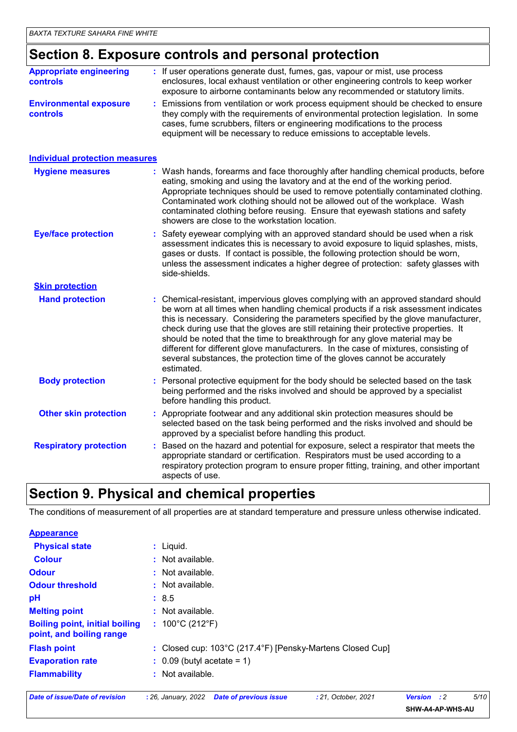### **Section 8. Exposure controls and personal protection**

| <b>Appropriate engineering</b><br><b>controls</b> | : If user operations generate dust, fumes, gas, vapour or mist, use process<br>enclosures, local exhaust ventilation or other engineering controls to keep worker<br>exposure to airborne contaminants below any recommended or statutory limits.                                                                                                                                                                                                                                                                                                                                                                       |
|---------------------------------------------------|-------------------------------------------------------------------------------------------------------------------------------------------------------------------------------------------------------------------------------------------------------------------------------------------------------------------------------------------------------------------------------------------------------------------------------------------------------------------------------------------------------------------------------------------------------------------------------------------------------------------------|
| <b>Environmental exposure</b><br>controls         | Emissions from ventilation or work process equipment should be checked to ensure<br>they comply with the requirements of environmental protection legislation. In some<br>cases, fume scrubbers, filters or engineering modifications to the process<br>equipment will be necessary to reduce emissions to acceptable levels.                                                                                                                                                                                                                                                                                           |
| <b>Individual protection measures</b>             |                                                                                                                                                                                                                                                                                                                                                                                                                                                                                                                                                                                                                         |
| <b>Hygiene measures</b>                           | : Wash hands, forearms and face thoroughly after handling chemical products, before<br>eating, smoking and using the lavatory and at the end of the working period.<br>Appropriate techniques should be used to remove potentially contaminated clothing.<br>Contaminated work clothing should not be allowed out of the workplace. Wash<br>contaminated clothing before reusing. Ensure that eyewash stations and safety<br>showers are close to the workstation location.                                                                                                                                             |
| <b>Eye/face protection</b>                        | Safety eyewear complying with an approved standard should be used when a risk<br>assessment indicates this is necessary to avoid exposure to liquid splashes, mists,<br>gases or dusts. If contact is possible, the following protection should be worn,<br>unless the assessment indicates a higher degree of protection: safety glasses with<br>side-shields.                                                                                                                                                                                                                                                         |
| <b>Skin protection</b>                            |                                                                                                                                                                                                                                                                                                                                                                                                                                                                                                                                                                                                                         |
| <b>Hand protection</b>                            | Chemical-resistant, impervious gloves complying with an approved standard should<br>be worn at all times when handling chemical products if a risk assessment indicates<br>this is necessary. Considering the parameters specified by the glove manufacturer,<br>check during use that the gloves are still retaining their protective properties. It<br>should be noted that the time to breakthrough for any glove material may be<br>different for different glove manufacturers. In the case of mixtures, consisting of<br>several substances, the protection time of the gloves cannot be accurately<br>estimated. |
| <b>Body protection</b>                            | : Personal protective equipment for the body should be selected based on the task<br>being performed and the risks involved and should be approved by a specialist<br>before handling this product.                                                                                                                                                                                                                                                                                                                                                                                                                     |
| <b>Other skin protection</b>                      | : Appropriate footwear and any additional skin protection measures should be<br>selected based on the task being performed and the risks involved and should be<br>approved by a specialist before handling this product.                                                                                                                                                                                                                                                                                                                                                                                               |
| <b>Respiratory protection</b>                     | Based on the hazard and potential for exposure, select a respirator that meets the<br>appropriate standard or certification. Respirators must be used according to a<br>respiratory protection program to ensure proper fitting, training, and other important<br>aspects of use.                                                                                                                                                                                                                                                                                                                                       |

### **Section 9. Physical and chemical properties**

The conditions of measurement of all properties are at standard temperature and pressure unless otherwise indicated.

| <b>Appearance</b>                                                 |                                                           |
|-------------------------------------------------------------------|-----------------------------------------------------------|
| <b>Physical state</b>                                             | : Liquid.                                                 |
| <b>Colour</b>                                                     | $\therefore$ Not available.                               |
| <b>Odour</b>                                                      | $\therefore$ Not available.                               |
| <b>Odour threshold</b>                                            | $\pm$ Not available.                                      |
| pH                                                                | : 8.5                                                     |
| <b>Melting point</b>                                              | $\therefore$ Not available.                               |
| <b>Boiling point, initial boiling</b><br>point, and boiling range | : $100^{\circ}$ C (212 $^{\circ}$ F)                      |
| <b>Flash point</b>                                                | : Closed cup: 103°C (217.4°F) [Pensky-Martens Closed Cup] |
| <b>Evaporation rate</b>                                           | $\therefore$ 0.09 (butyl acetate = 1)                     |
| <b>Flammability</b>                                               | $\therefore$ Not available.                               |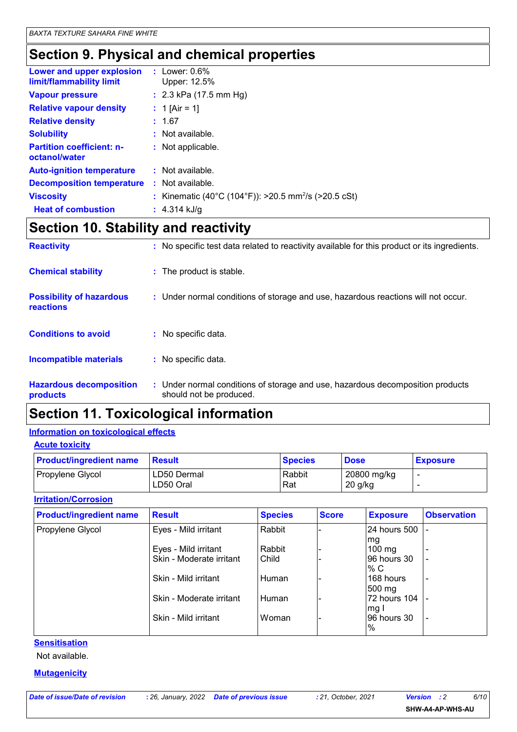### **Section 9. Physical and chemical properties**

| $:$ Lower: $0.6\%$<br>Upper: 12.5%                               |
|------------------------------------------------------------------|
| : $2.3$ kPa (17.5 mm Hg)                                         |
| : 1 [Air = 1]                                                    |
| : 1.67                                                           |
| : Not available.                                                 |
| : Not applicable.                                                |
| : Not available.                                                 |
| Not available.                                                   |
| : Kinematic (40°C (104°F)): >20.5 mm <sup>2</sup> /s (>20.5 cSt) |
| : $4.314$ kJ/g                                                   |
|                                                                  |

### **Section 10. Stability and reactivity**

| <b>Reactivity</b>                            | : No specific test data related to reactivity available for this product or its ingredients.              |
|----------------------------------------------|-----------------------------------------------------------------------------------------------------------|
| <b>Chemical stability</b>                    | : The product is stable.                                                                                  |
| <b>Possibility of hazardous</b><br>reactions | : Under normal conditions of storage and use, hazardous reactions will not occur.                         |
| <b>Conditions to avoid</b>                   | : No specific data.                                                                                       |
| <b>Incompatible materials</b>                | : No specific data.                                                                                       |
| <b>Hazardous decomposition</b><br>products   | : Under normal conditions of storage and use, hazardous decomposition products<br>should not be produced. |

### **Section 11. Toxicological information**

#### **Information on toxicological effects**

**Acute toxicity**

| <b>Product/ingredient name</b> | <b>Result</b>            | <b>Species</b> | <b>Dose</b>              | <b>Exposure</b> |
|--------------------------------|--------------------------|----------------|--------------------------|-----------------|
| Propylene Glycol               | LD50 Dermal<br>LD50 Oral | Rabbit<br>Rat  | 20800 mg/kg<br>$20$ g/kg |                 |

#### **Irritation/Corrosion**

| <b>Product/ingredient name</b> | <b>Result</b>            | <b>Species</b> | <b>Score</b> | <b>Exposure</b>  | <b>Observation</b>       |
|--------------------------------|--------------------------|----------------|--------------|------------------|--------------------------|
| Propylene Glycol               | Eyes - Mild irritant     | Rabbit         |              | 24 hours 500     |                          |
|                                |                          |                |              | lmg              |                          |
|                                | Eyes - Mild irritant     | Rabbit         |              | $100 \text{ mg}$ |                          |
|                                | Skin - Moderate irritant | Child          |              | 96 hours 30      | $\overline{\phantom{0}}$ |
|                                |                          |                |              | % C              |                          |
|                                | Skin - Mild irritant     | Human          |              | 168 hours        |                          |
|                                |                          |                |              | $500 \text{ mg}$ |                          |
|                                | Skin - Moderate irritant | Human          |              | 72 hours 104     |                          |
|                                |                          |                |              | mg               |                          |
|                                | Skin - Mild irritant     | Woman          |              | 96 hours 30      |                          |
|                                |                          |                |              | $\%$             |                          |

### **Sensitisation**

Not available.

**Mutagenicity**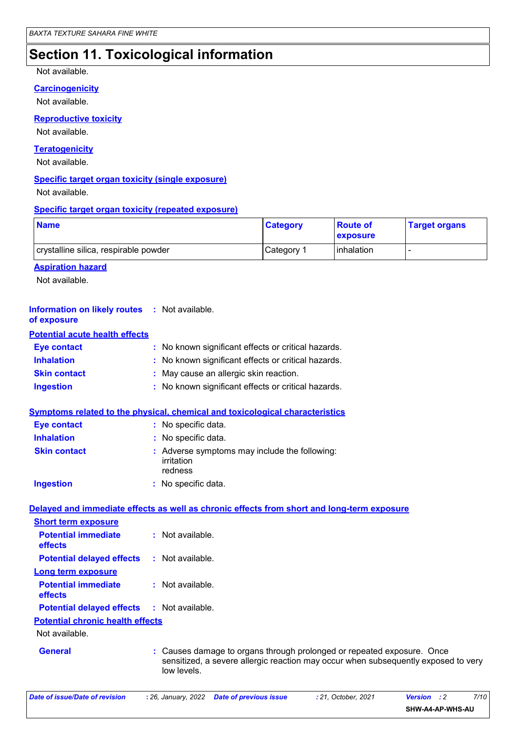### **Section 11. Toxicological information**

#### Not available.

### **Carcinogenicity**

Not available.

**Reproductive toxicity**

Not available.

#### **Teratogenicity**

Not available.

#### **Specific target organ toxicity (single exposure)**

Not available.

#### **Specific target organ toxicity (repeated exposure)**

| <b>Name</b>                           | <b>Category</b> | <b>Route of</b><br><b>exposure</b> | <b>Target organs</b> |
|---------------------------------------|-----------------|------------------------------------|----------------------|
| crystalline silica, respirable powder | Category 1      | l inhalation                       |                      |

#### **Aspiration hazard**

Not available.

| <b>Information on likely routes : Not available.</b><br>of exposure |                                                                                                                                                                           |
|---------------------------------------------------------------------|---------------------------------------------------------------------------------------------------------------------------------------------------------------------------|
| <b>Potential acute health effects</b>                               |                                                                                                                                                                           |
| <b>Eye contact</b>                                                  | : No known significant effects or critical hazards.                                                                                                                       |
| <b>Inhalation</b>                                                   | : No known significant effects or critical hazards.                                                                                                                       |
| <b>Skin contact</b>                                                 | : May cause an allergic skin reaction.                                                                                                                                    |
| <b>Ingestion</b>                                                    | : No known significant effects or critical hazards.                                                                                                                       |
|                                                                     | Symptoms related to the physical, chemical and toxicological characteristics                                                                                              |
| <b>Eye contact</b>                                                  | : No specific data.                                                                                                                                                       |
| <b>Inhalation</b>                                                   | : No specific data.                                                                                                                                                       |
| <b>Skin contact</b>                                                 | : Adverse symptoms may include the following:<br>irritation<br>redness                                                                                                    |
| <b>Ingestion</b>                                                    | : No specific data.                                                                                                                                                       |
|                                                                     | Delayed and immediate effects as well as chronic effects from short and long-term exposure                                                                                |
| <b>Short term exposure</b>                                          |                                                                                                                                                                           |
| <b>Potential immediate</b><br>effects                               | : Not available.                                                                                                                                                          |
| <b>Potential delayed effects</b>                                    | : Not available.                                                                                                                                                          |
| <b>Long term exposure</b>                                           |                                                                                                                                                                           |
| <b>Potential immediate</b><br>effects                               | : Not available.                                                                                                                                                          |
| <b>Potential delayed effects</b>                                    | : Not available.                                                                                                                                                          |
| <b>Potential chronic health effects</b>                             |                                                                                                                                                                           |
| Not available.                                                      |                                                                                                                                                                           |
| <b>General</b>                                                      | Causes damage to organs through prolonged or repeated exposure. Once<br>sensitized, a severe allergic reaction may occur when subsequently exposed to very<br>low levels. |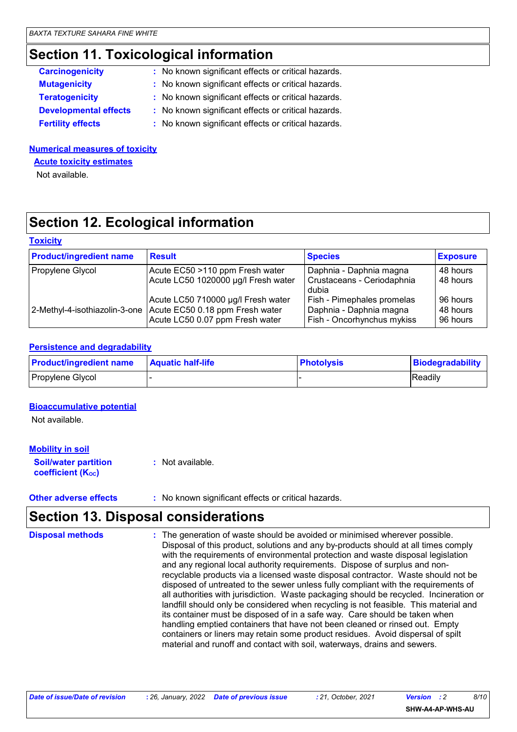### **Section 11. Toxicological information**

| <b>Carcinogenicity</b>       | : No known significant effects or critical hazards. |
|------------------------------|-----------------------------------------------------|
| <b>Mutagenicity</b>          | : No known significant effects or critical hazards. |
| <b>Teratogenicity</b>        | : No known significant effects or critical hazards. |
| <b>Developmental effects</b> | : No known significant effects or critical hazards. |
| <b>Fertility effects</b>     | : No known significant effects or critical hazards. |

#### **Numerical measures of toxicity**

**Acute toxicity estimates**

Not available.

### **Section 12. Ecological information**

#### **Toxicity**

| <b>Product/ingredient name</b> | <b>Result</b>                                                                                            | <b>Species</b>                                                                      | <b>Exposure</b>                  |
|--------------------------------|----------------------------------------------------------------------------------------------------------|-------------------------------------------------------------------------------------|----------------------------------|
| Propylene Glycol               | Acute EC50 >110 ppm Fresh water                                                                          | Daphnia - Daphnia magna                                                             | 48 hours                         |
|                                | Acute LC50 1020000 µg/l Fresh water                                                                      | Crustaceans - Ceriodaphnia<br>dubia                                                 | 48 hours                         |
| 2-Methyl-4-isothiazolin-3-one  | Acute LC50 710000 µg/l Fresh water<br>Acute EC50 0.18 ppm Fresh water<br>Acute LC50 0.07 ppm Fresh water | Fish - Pimephales promelas<br>Daphnia - Daphnia magna<br>Fish - Oncorhynchus mykiss | 96 hours<br>48 hours<br>96 hours |

#### **Persistence and degradability**

| <b>Product/ingredient name</b> | <b>Aquatic half-life</b> | <b>Photolysis</b> | <b>Biodegradability</b> |
|--------------------------------|--------------------------|-------------------|-------------------------|
| Propylene Glycol               |                          |                   | Readily                 |

#### **Bioaccumulative potential**

Not available.

#### **Soil/water partition coefficient (Koc) :** Not available. **Mobility in soil**

**Other adverse effects** : No known significant effects or critical hazards.

### **Section 13. Disposal considerations**

The generation of waste should be avoided or minimised wherever possible. Disposal of this product, solutions and any by-products should at all times comply with the requirements of environmental protection and waste disposal legislation and any regional local authority requirements. Dispose of surplus and nonrecyclable products via a licensed waste disposal contractor. Waste should not be disposed of untreated to the sewer unless fully compliant with the requirements of all authorities with jurisdiction. Waste packaging should be recycled. Incineration or landfill should only be considered when recycling is not feasible. This material and its container must be disposed of in a safe way. Care should be taken when handling emptied containers that have not been cleaned or rinsed out. Empty containers or liners may retain some product residues. Avoid dispersal of spilt material and runoff and contact with soil, waterways, drains and sewers. **Disposal methods :**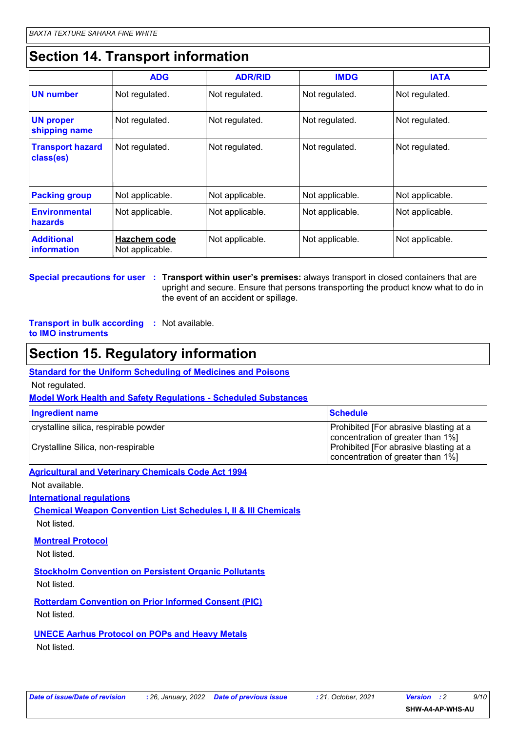### **Section 14. Transport information**

|                                         | <b>ADG</b>                             | <b>ADR/RID</b>  | <b>IMDG</b>     | <b>IATA</b>     |
|-----------------------------------------|----------------------------------------|-----------------|-----------------|-----------------|
| <b>UN number</b>                        | Not regulated.                         | Not regulated.  | Not regulated.  | Not regulated.  |
| <b>UN proper</b><br>shipping name       | Not regulated.                         | Not regulated.  | Not regulated.  | Not regulated.  |
| <b>Transport hazard</b><br>class(es)    | Not regulated.                         | Not regulated.  | Not regulated.  | Not regulated.  |
| <b>Packing group</b>                    | Not applicable.                        | Not applicable. | Not applicable. | Not applicable. |
| <b>Environmental</b><br><b>hazards</b>  | Not applicable.                        | Not applicable. | Not applicable. | Not applicable. |
| <b>Additional</b><br><i>information</i> | <b>Hazchem code</b><br>Not applicable. | Not applicable. | Not applicable. | Not applicable. |

**Special precautions for user Transport within user's premises:** always transport in closed containers that are **:** upright and secure. Ensure that persons transporting the product know what to do in the event of an accident or spillage.

**Transport in bulk according :** Not available. **to IMO instruments**

### **Section 15. Regulatory information**

#### **Standard for the Uniform Scheduling of Medicines and Poisons**

Not regulated.

#### **Model Work Health and Safety Regulations - Scheduled Substances**

| Ingredient name                                                             | <b>Schedule</b>                                                                                                                                            |
|-----------------------------------------------------------------------------|------------------------------------------------------------------------------------------------------------------------------------------------------------|
| crystalline silica, respirable powder<br>Crystalline Silica, non-respirable | Prohibited [For abrasive blasting at a<br>concentration of greater than 1%]<br>Prohibited [For abrasive blasting at a<br>concentration of greater than 1%] |
|                                                                             |                                                                                                                                                            |

### **Agricultural and Veterinary Chemicals Code Act 1994**

Not available.

**International regulations**

**Chemical Weapon Convention List Schedules I, II & III Chemicals**

Not listed.

#### **Montreal Protocol**

Not listed.

**Stockholm Convention on Persistent Organic Pollutants**

Not listed.

**Rotterdam Convention on Prior Informed Consent (PIC)** Not listed.

**UNECE Aarhus Protocol on POPs and Heavy Metals**

Not listed.